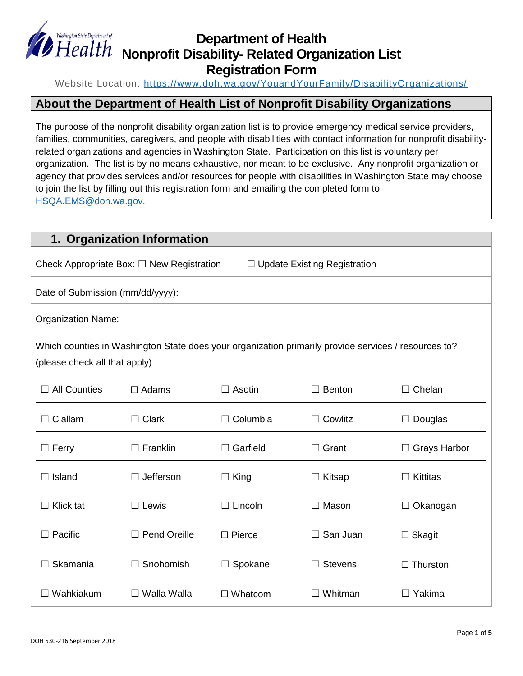

## **Department of Health Nonprofit Disability- Related Organization List Registration Form**

Website Location:<https://www.doh.wa.gov/YouandYourFamily/DisabilityOrganizations/>

### **About the Department of Health List of Nonprofit Disability Organizations**

The purpose of the nonprofit disability organization list is to provide emergency medical service providers, families, communities, caregivers, and people with disabilities with contact information for nonprofit disabilityrelated organizations and agencies in Washington State. Participation on this list is voluntary per organization. The list is by no means exhaustive, nor meant to be exclusive. Any nonprofit organization or agency that provides services and/or resources for people with disabilities in Washington State may choose to join the list by filling out this registration form and emailing the completed form to [HSQA.EMS@doh.wa.gov.](mailto:HSQA.EMS@doh.wa.gov)

| 1. Organization Information                                                                                                           |                     |                 |                 |                                |
|---------------------------------------------------------------------------------------------------------------------------------------|---------------------|-----------------|-----------------|--------------------------------|
| Check Appropriate Box: $\square$ New Registration<br>$\Box$ Update Existing Registration                                              |                     |                 |                 |                                |
| Date of Submission (mm/dd/yyyy):                                                                                                      |                     |                 |                 |                                |
| <b>Organization Name:</b>                                                                                                             |                     |                 |                 |                                |
| Which counties in Washington State does your organization primarily provide services / resources to?<br>(please check all that apply) |                     |                 |                 |                                |
| <b>All Counties</b>                                                                                                                   | $\Box$ Adams        | $\Box$ Asotin   | $\Box$ Benton   | Chelan<br>$\Box$               |
| Clallam                                                                                                                               | $\Box$ Clark        | $\Box$ Columbia | $\Box$ Cowlitz  | Douglas<br>$\Box$              |
| $\Box$ Ferry                                                                                                                          | $\Box$ Franklin     | $\Box$ Garfield | $\Box$ Grant    | <b>Grays Harbor</b><br>$\perp$ |
| $\Box$ Island                                                                                                                         | $\Box$ Jefferson    | $\Box$ King     | $\Box$ Kitsap   | Kittitas<br>$\perp$            |
| Klickitat                                                                                                                             | $\Box$ Lewis        | $\Box$ Lincoln  | $\Box$ Mason    | Okanogan<br>$\perp$            |
| Pacific                                                                                                                               | <b>Pend Oreille</b> | $\Box$ Pierce   | $\Box$ San Juan | $\Box$ Skagit                  |
| Skamania                                                                                                                              | Snohomish           | $\Box$ Spokane  | <b>Stevens</b>  | $\Box$ Thurston                |
| Wahkiakum                                                                                                                             | $\Box$ Walla Walla  | $\Box$ Whatcom  | Whitman         | $\Box$ Yakima                  |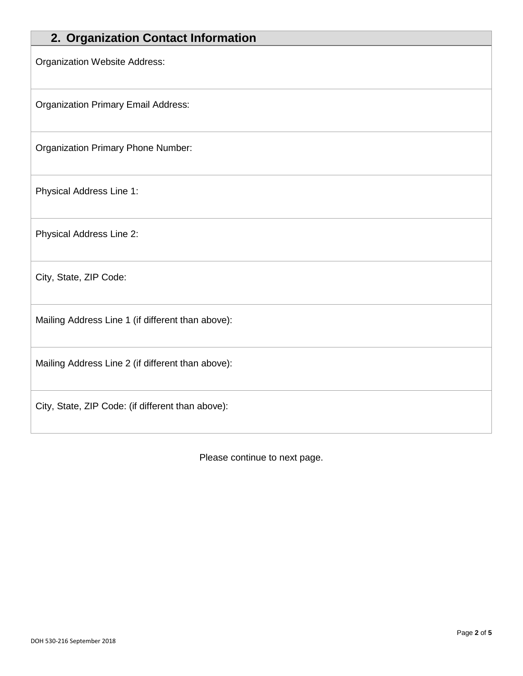| 2. Organization Contact Information               |
|---------------------------------------------------|
| <b>Organization Website Address:</b>              |
| <b>Organization Primary Email Address:</b>        |
| <b>Organization Primary Phone Number:</b>         |
| Physical Address Line 1:                          |
| Physical Address Line 2:                          |
| City, State, ZIP Code:                            |
| Mailing Address Line 1 (if different than above): |
| Mailing Address Line 2 (if different than above): |
| City, State, ZIP Code: (if different than above): |

Please continue to next page.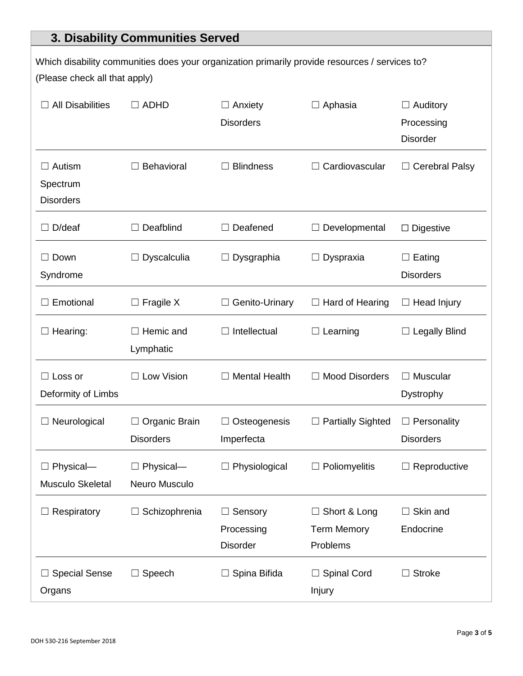# **3. Disability Communities Served**

| Which disability communities does your organization primarily provide resources / services to?<br>(Please check all that apply) |                                   |                                               |                                                       |                                                  |
|---------------------------------------------------------------------------------------------------------------------------------|-----------------------------------|-----------------------------------------------|-------------------------------------------------------|--------------------------------------------------|
| <b>All Disabilities</b>                                                                                                         | $\Box$ ADHD                       | $\Box$ Anxiety<br><b>Disorders</b>            | $\Box$ Aphasia                                        | $\Box$ Auditory<br>Processing<br><b>Disorder</b> |
| Autism<br>Spectrum<br><b>Disorders</b>                                                                                          | Behavioral                        | <b>Blindness</b>                              | Cardiovascular                                        | $\Box$ Cerebral Palsy                            |
| D/deaf                                                                                                                          | Deafblind                         | Deafened<br>$\Box$                            | Developmental                                         | $\Box$ Digestive                                 |
| Down<br>Syndrome                                                                                                                | Dyscalculia                       | Dysgraphia<br>$\Box$                          | $\Box$ Dyspraxia                                      | $\Box$ Eating<br><b>Disorders</b>                |
| Emotional                                                                                                                       | $\square$ Fragile X               | Genito-Urinary<br>ш                           | $\Box$ Hard of Hearing                                | $\Box$ Head Injury                               |
| Hearing:                                                                                                                        | Hemic and<br>Lymphatic            | Intellectual<br>$\Box$                        | Learning                                              | $\Box$ Legally Blind                             |
| $\Box$ Loss or<br>Deformity of Limbs                                                                                            | □ Low Vision                      | $\Box$ Mental Health                          | $\Box$ Mood Disorders                                 | $\Box$ Muscular<br>Dystrophy                     |
| Neurological                                                                                                                    | Organic Brain<br><b>Disorders</b> | Osteogenesis<br>Imperfecta                    | <b>Partially Sighted</b>                              | Personality<br><b>Disorders</b>                  |
| Physical-<br>Musculo Skeletal                                                                                                   | $\Box$ Physical-<br>Neuro Musculo | $\Box$ Physiological                          | $\Box$ Poliomyelitis                                  | $\Box$ Reproductive                              |
| Respiratory                                                                                                                     | Schizophrenia                     | Sensory<br>ப<br>Processing<br><b>Disorder</b> | $\Box$ Short & Long<br><b>Term Memory</b><br>Problems | $\Box$ Skin and<br>Endocrine                     |
| <b>Special Sense</b><br>Organs                                                                                                  | Speech                            | Spina Bifida<br>ப                             | <b>Spinal Cord</b><br>Injury                          | $\Box$ Stroke                                    |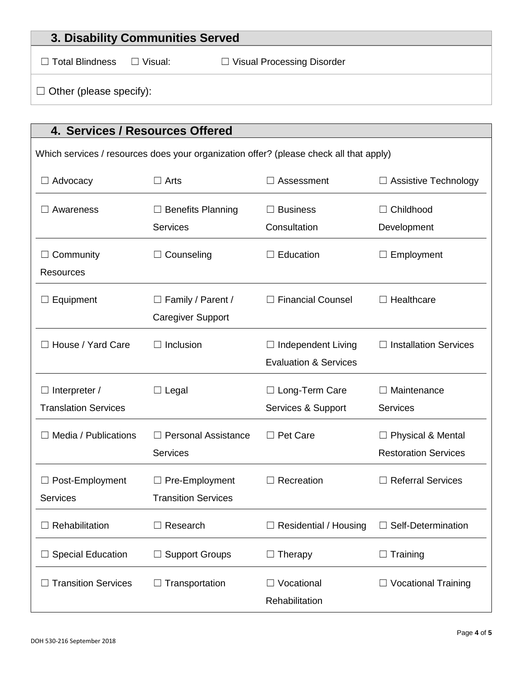| 3. Disability Communities Served                                                       |                |                                   |  |
|----------------------------------------------------------------------------------------|----------------|-----------------------------------|--|
| $\Box$ Total Blindness                                                                 | $\Box$ Visual: | $\Box$ Visual Processing Disorder |  |
| $\Box$ Other (please specify):                                                         |                |                                   |  |
|                                                                                        |                |                                   |  |
| 4. Services / Resources Offered                                                        |                |                                   |  |
| Which services / resources does your organization offer? (please check all that apply) |                |                                   |  |

| $\Box$ Advocacy                                     | $\Box$ Arts                                          | $\Box$ Assessment                                             | $\Box$ Assistive Technology                             |
|-----------------------------------------------------|------------------------------------------------------|---------------------------------------------------------------|---------------------------------------------------------|
| Awareness                                           | $\Box$ Benefits Planning<br><b>Services</b>          | $\Box$ Business<br>Consultation                               | $\Box$ Childhood<br>Development                         |
| Community<br><b>Resources</b>                       | $\Box$ Counseling                                    | $\Box$ Education                                              | Employment                                              |
| Equipment                                           | $\Box$ Family / Parent /<br><b>Caregiver Support</b> | $\Box$ Financial Counsel                                      | $\Box$ Healthcare                                       |
| House / Yard Care                                   | Inclusion<br>$\Box$                                  | $\Box$ Independent Living<br><b>Evaluation &amp; Services</b> | <b>Installation Services</b><br>$\Box$                  |
| $\Box$ Interpreter /<br><b>Translation Services</b> | $\Box$ Legal                                         | □ Long-Term Care<br>Services & Support                        | $\Box$ Maintenance<br><b>Services</b>                   |
| Media / Publications                                | $\Box$ Personal Assistance<br><b>Services</b>        | $\Box$ Pet Care                                               | $\Box$ Physical & Mental<br><b>Restoration Services</b> |
| $\Box$ Post-Employment<br><b>Services</b>           | $\Box$ Pre-Employment<br><b>Transition Services</b>  | $\Box$ Recreation                                             | $\Box$ Referral Services                                |
| Rehabilitation                                      | Research                                             | <b>Residential / Housing</b>                                  | Self-Determination                                      |
| $\Box$ Special Education                            | $\Box$ Support Groups                                | $\Box$ Therapy                                                | $\Box$ Training                                         |
| <b>Transition Services</b>                          | Transportation                                       | Vocational<br>Rehabilitation                                  | $\Box$ Vocational Training                              |